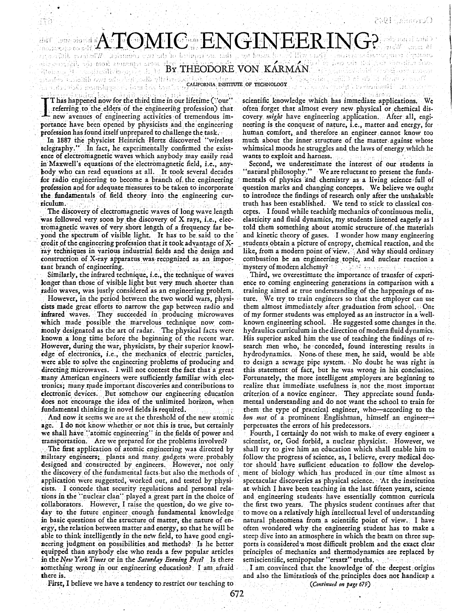างที่ช่วยกับรับเที่ย์ ) " B6 mini Windi

**ATOMIC ENGINEERIN**  $d$  of the two comedial Whath a difference capacity is the portant or system. sette communis from the signed side th sem out the Kair shouther same **BOSTON RARMAN** ร้อมได้เล็กไป จำนี้ เอ็กเป็นตองท admites described and entry the state of the resident that the state of the monder.<br>As a result is important that the state of the state of the mondern of the mondern where  $\lambda_{\rm eff}$  is the following Table,  $\{ \phi_{\alpha} \}_{\alpha \in \mathbb{N}}$  is the density of the second ยะ นั่น

Thas happened now for the third time in our lifetime ("our" referring to the elders of the engineering profession) that new avenues of engineering activities of tremendous importance have been opened by physicists and the engineering profession has found itself unprepared to challenge the task.

In 1887 the physicist Heinrich Hertz discovered "wireless telegraphy." In fact, he experimentally confirmed the existence of electromagnetic waves which anybody may easily read in Maxwell's equations of the electromagnetic field, i.e., anybody who can read equations at all. It took several decades for radio engineering to become a branch of the engineering profession and for adequate measures to be taken to incorporate the fundamentals of field theory into the engineering curriculum.

The discovery of electromagnetic waves of long wave length was followed very soon by the discovery of X rays, *i.e.*, electromagnetic waves of very short length of a frequency far beyond the spectrum of visible light. It has to be said to the credit of the engineering profession that it took advantage of Xray techniques in various industrial fields and the design and construction of X-ray apparatus was recognized as an important branch of engineering.

Similarly, the infrared technique, i.e., the technique of waves longer than those of visible light but very much shorter than radio waves, was justly considered as an engineering problem.

However, in the period between the two world wars, physicists made great efforts to narrow the gap between radio and infrared waves. They succeeded in producing microwaves which made possible the marvelous technique now commonly designated as the art of radar. The physical facts were known a long time before the beginning of the recent war. However, during the war, physicists, by their superior knowledge of electronics, i.e., the mechanics of electric particles, were able to solve the engineering problems of producing and directing microwaves. I will not contest the fact that a great many American engineers were sufficiently familiar with electronics; many made important discoveries and contributions to electronic devices. But somehow our engineering education does not encourage the idea of the unlimited horizon, when fundamental thinking in novel fields is required.

And now it seems we are at the threshold of the new atomic age. I do not know whether or not this is true, but certainly we shall have "atomic engineering" in the fields of power and transportation. Are we prepared for the problems involved?

The first application of atomic engineering was directed by military engineers; plants and many gadgets were probably designed and constructed by engineers. However, not only the discovery of the fundamental facts but also the methods of application were suggested, worked out, and tested by physicists. I concede that security regulations and personal relations in the "nuclear clan" played a great part in the choice of collaborators. However, I raise the question, do we give today to the future engineer enough fundamental knowledge in basic questions of the structure of matter, the nature of energy, the relation between matter and energy, so that he will be able to think intelligently in the new field, to have good engineering judgment on possibilities and methods? Is he better equipped than anybody else who reads a few popular articles in the New York Times or in the Saturday Evening Post? Is there something wrong in our engineering education? I am afraid there is.

scientific knowledge which has immediate applications. We often forget that almost every new physical or chemical discovery might have engineering application. After all, engineering is the conquest of nature, i.e., matter and energy, for human comfort, and therefore an engineer cannot know too much about the inner structure of the matter against whose whimsical moods he struggles and the laws of energy which he wants to exploit and harness.

Second, we underestimate the interest of our students in "natural philosophy." We are reluctant to present the fundamentals of physics and chemistry as a living science full of question marks and changing concepts. We believe we ought to introduce the findings of research only after the unshakable truth has been established. We tend to stick to classical concepts. I found while teaching mechanics of continuous media, elasticity and fluid dynamics, my students listened eagerly as I told them something about atomic structure of the materials and kinetic theory of gases. I wonder how many engineering students obtain a picture of entropy, chemical reaction, and the like, from a modern point of view. And why should ordinary combustion be an engineering topic, and nuclear reaction a mystery of modern alchemy? Which are here in the manner

Third, we overestimate the importance of transfer of experience to coming engineering generations in comparison with a training aimed at true understanding of the happenings of nature. We try to train engineers so that the employer can use them almost immediately after graduation from school. One of my former students was employed as an instructor in a wellknown engineering school. He suggested some changes in the. hydraulics curriculum in the direction of modern fluid dynamics. His superior asked him the use of teaching the findings of research men who, he conceded, found interesting results in hydrodynamics. None of these men, he said, would be able to design a sewage pipe system. No doubt he was right in this statement of fact, but he was wrong in his conclusion. Fortunately, the more intelligent employers are beginning to realize that immediate usefulness is not the most important criterion of a novice engineer. They appreciate sound fundamental understanding and do not want the school to train for them the type of practical engineer, who—according to the bon mot of a prominent Englishman, himself an engineerperpetuates the errors of his predecessors. The description

Fourth, I certainly do not wish to make of every engineer a scientist, or, God forbid, a nuclear physicist. However, we shall try to give him an education which shall enable him to follow the progress of science, as, I believe, every medical doctor should have sufficient education to follow the development of biology which has produced in our time almost as spectacular discoveries as physical science. At the institution at which I have been teaching in the last fifteen years, science and engineering students have essentially common curricula the first two years. The physics student continues after that to move on a relatively high intellectual level of understanding natural phenomena from a scientific point of view. I have often wondered why the engineering student has to make a steep dive into an atmosphere in which the beam on three supports is considered a most difficult problem and the exact clear principles of mechanics and thermodynamics are replaced by semiscientific, semipopular "ersatz" truths.

I am convinced that the knowledge of the deepest origins and also the limitations of the principles does not handicap a (Continued on page 679)

First, I believe we have a tendency to restrict our teaching to